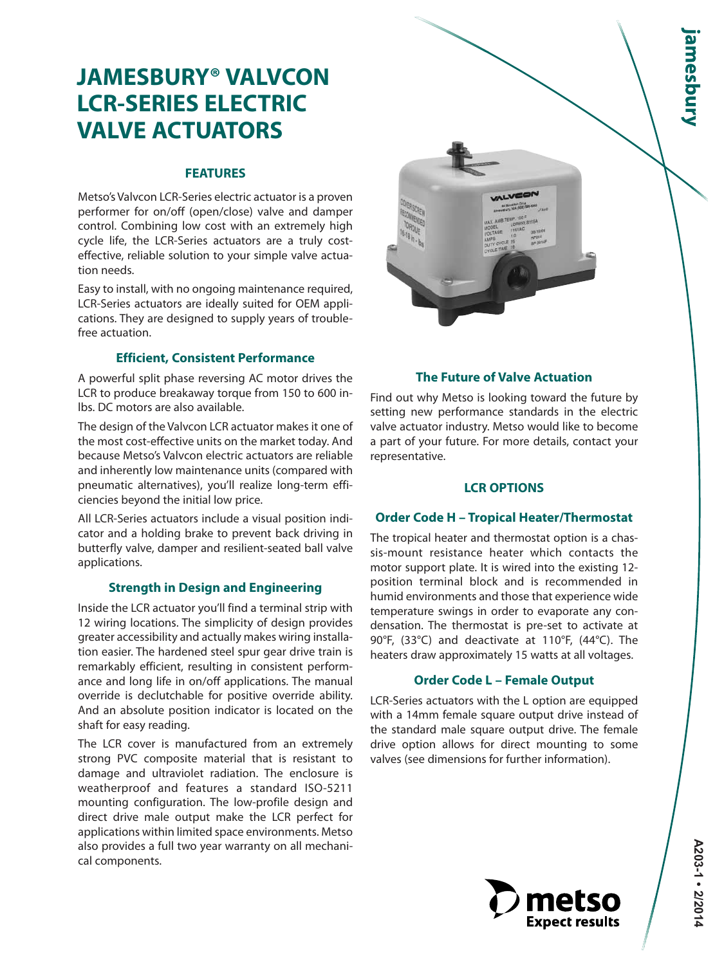# amesbury

## **JAMESBURY® VALVCON LCR-SERIES ELECTRIC VALVE ACTUATORS**

#### **FEATURES**

Metso's Valvcon LCR-Series electric actuator is a proven performer for on/off (open/close) valve and damper control. Combining low cost with an extremely high cycle life, the LCR-Series actuators are a truly costeffective, reliable solution to your simple valve actuation needs.

Easy to install, with no ongoing maintenance required, LCR-Series actuators are ideally suited for OEM applications. They are designed to supply years of troublefree actuation.

#### **Efficient, Consistent Performance**

A powerful split phase reversing AC motor drives the LCR to produce breakaway torque from 150 to 600 inlbs. DC motors are also available.

The design of the Valvcon LCR actuator makes it one of the most cost-effective units on the market today. And because Metso's Valvcon electric actuators are reliable and inherently low maintenance units (compared with pneumatic alternatives), you'll realize long-term efficiencies beyond the initial low price.

All LCR-Series actuators include a visual position indicator and a holding brake to prevent back driving in butterfly valve, damper and resilient-seated ball valve applications.

#### **Strength in Design and Engineering**

Inside the LCR actuator you'll find a terminal strip with 12 wiring locations. The simplicity of design provides greater accessibility and actually makes wiring installation easier. The hardened steel spur gear drive train is remarkably efficient, resulting in consistent performance and long life in on/off applications. The manual override is declutchable for positive override ability. And an absolute position indicator is located on the shaft for easy reading.

The LCR cover is manufactured from an extremely strong PVC composite material that is resistant to damage and ultraviolet radiation. The enclosure is weatherproof and features a standard ISO-5211 mounting configuration. The low-profile design and direct drive male output make the LCR perfect for applications within limited space environments. Metso also provides a full two year warranty on all mechanical components.



#### **The Future of Valve Actuation**

Find out why Metso is looking toward the future by setting new performance standards in the electric valve actuator industry. Metso would like to become a part of your future. For more details, contact your representative.

#### **LCR OPTIONS**

#### **Order Code H – Tropical Heater/Thermostat**

The tropical heater and thermostat option is a chassis-mount resistance heater which contacts the motor support plate. It is wired into the existing 12 position terminal block and is recommended in humid environments and those that experience wide temperature swings in order to evaporate any condensation. The thermostat is pre-set to activate at 90°F, (33°C) and deactivate at 110°F, (44°C). The heaters draw approximately 15 watts at all voltages.

#### **Order Code L – Female Output**

LCR-Series actuators with the L option are equipped with a 14mm female square output drive instead of the standard male square output drive. The female drive option allows for direct mounting to some valves (see dimensions for further information).

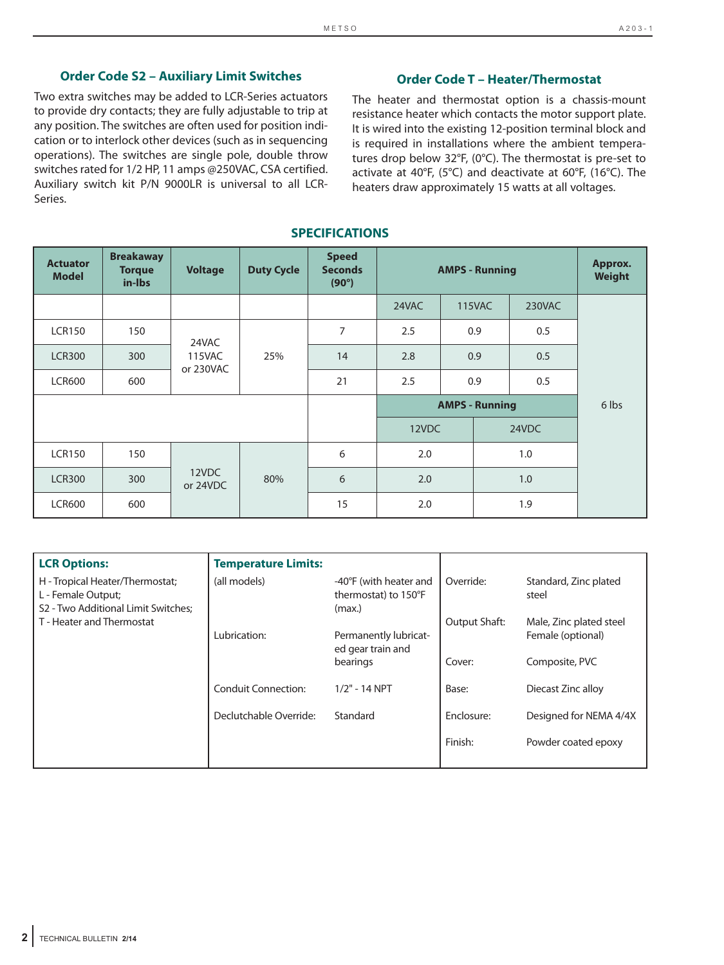#### **Order Code S2 – Auxiliary Limit Switches**

Two extra switches may be added to LCR-Series actuators to provide dry contacts; they are fully adjustable to trip at any position. The switches are often used for position indication or to interlock other devices (such as in sequencing operations). The switches are single pole, double throw switches rated for 1/2 HP, 11 amps @250VAC, CSA certified. Auxiliary switch kit P/N 9000LR is universal to all LCR-Series.

#### **Order Code T – Heater/Thermostat**

The heater and thermostat option is a chassis-mount resistance heater which contacts the motor support plate. It is wired into the existing 12-position terminal block and is required in installations where the ambient temperatures drop below 32°F, (0°C). The thermostat is pre-set to activate at 40°F, (5°C) and deactivate at 60°F, (16°C). The heaters draw approximately 15 watts at all voltages.

#### **SPECIFICATIONS**

| <b>Actuator</b><br><b>Model</b> | <b>Breakaway</b><br><b>Torque</b><br>in-Ibs | <b>Voltage</b>    | <b>Duty Cycle</b> | <b>Speed</b><br><b>Seconds</b><br>$(90^\circ)$ | <b>AMPS - Running</b> |                       |     |        | Approx.<br>Weight |  |
|---------------------------------|---------------------------------------------|-------------------|-------------------|------------------------------------------------|-----------------------|-----------------------|-----|--------|-------------------|--|
|                                 |                                             |                   |                   |                                                | 24VAC                 | <b>115VAC</b>         |     | 230VAC |                   |  |
| <b>LCR150</b>                   | 150                                         | 24VAC<br>115VAC   |                   | $\overline{7}$                                 | 2.5                   | 0.9                   |     | 0.5    |                   |  |
| <b>LCR300</b>                   | 300                                         |                   |                   | 25%                                            | 14                    | 2.8                   | 0.9 |        | 0.5               |  |
| <b>LCR600</b>                   | 600                                         | or 230VAC         |                   | 21                                             | 2.5                   | 0.9                   |     | 0.5    |                   |  |
|                                 |                                             |                   |                   |                                                |                       | <b>AMPS - Running</b> |     |        | 6 lbs             |  |
|                                 |                                             |                   |                   |                                                | 12VDC                 |                       |     | 24VDC  |                   |  |
| <b>LCR150</b>                   | 150                                         |                   |                   | 6                                              | 2.0                   |                       |     | 1.0    |                   |  |
| <b>LCR300</b>                   | 300                                         | 12VDC<br>or 24VDC |                   | 80%                                            | 6                     | 2.0                   |     |        | 1.0               |  |
| <b>LCR600</b>                   | 600                                         |                   |                   | 15                                             | 2.0                   |                       |     | 1.9    |                   |  |

| <b>LCR Options:</b>                                                                          | <b>Temperature Limits:</b> |                                                          |               |                                              |
|----------------------------------------------------------------------------------------------|----------------------------|----------------------------------------------------------|---------------|----------------------------------------------|
| H - Tropical Heater/Thermostat;<br>L - Female Output;<br>S2 - Two Additional Limit Switches; | (all models)               | -40°F (with heater and<br>thermostat) to 150°F<br>(max.) | Override:     | Standard, Zinc plated<br>steel               |
| T - Heater and Thermostat                                                                    | Lubrication:               | Permanently lubricat-<br>ed gear train and               | Output Shaft: | Male, Zinc plated steel<br>Female (optional) |
|                                                                                              |                            | bearings                                                 | Cover:        | Composite, PVC                               |
|                                                                                              | <b>Conduit Connection:</b> | $1/2" - 14 NPT$                                          | Base:         | Diecast Zinc alloy                           |
|                                                                                              | Declutchable Override:     | Standard                                                 | Enclosure:    | Designed for NEMA 4/4X                       |
|                                                                                              |                            |                                                          | Finish:       | Powder coated epoxy                          |
|                                                                                              |                            |                                                          |               |                                              |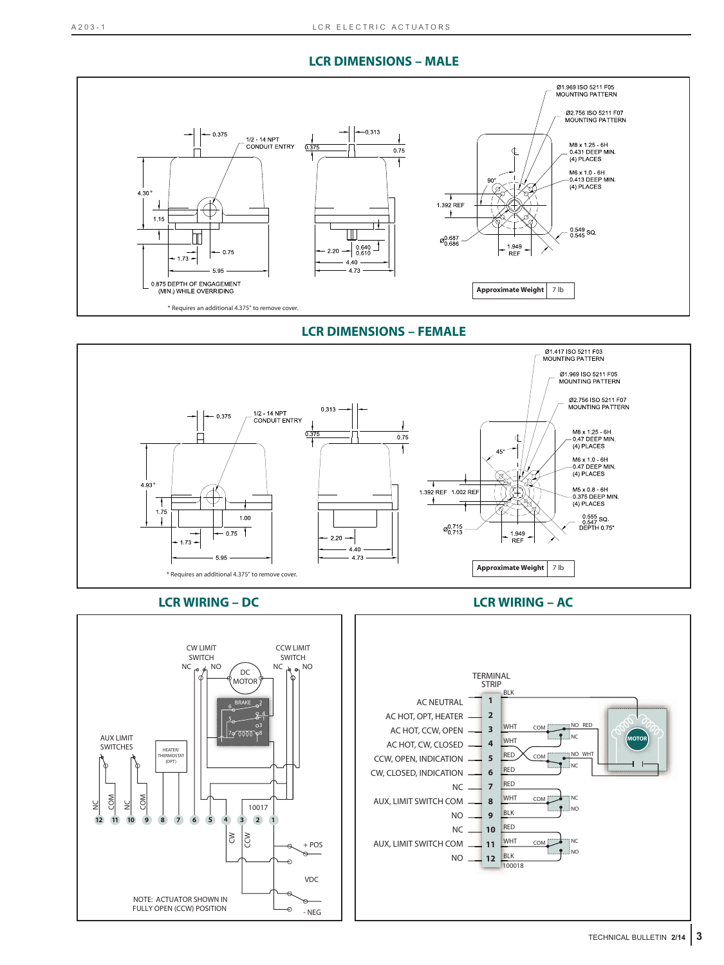#### **LCR DIMENSIONS – MALE**



**LCR DIMENSIONS – FEMALE**





#### **LCR WIRING – DC LCR WIRING – AC**